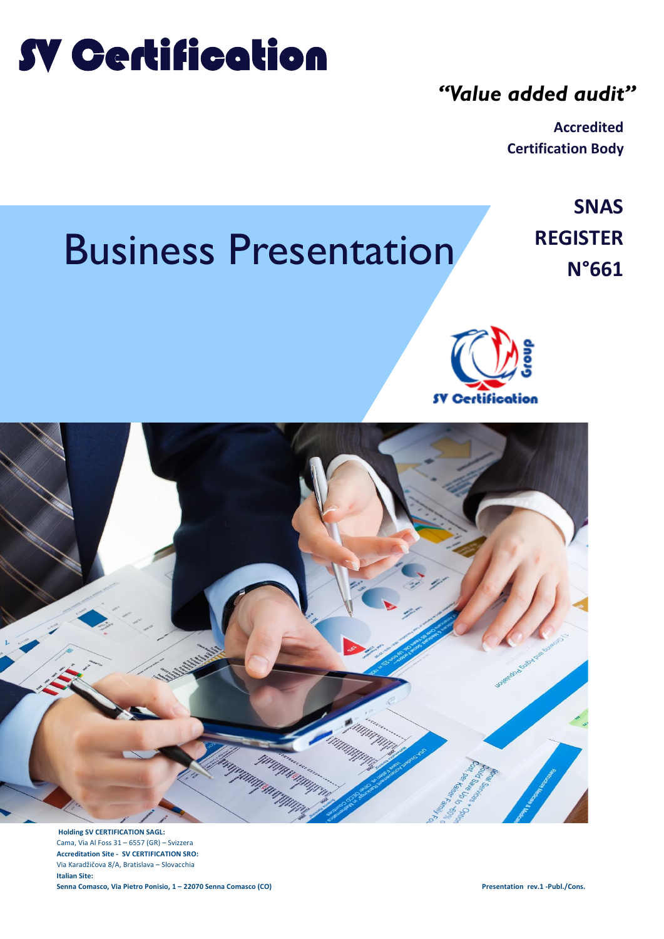# SV Certification

## *"Value added audit"*

**Accredited Certification Body**

# **REGISTER REGISTER REGISTER**

**SNAS** 





**Holding SV CERTIFICATION SAGL:** Cama, Via Al Foss 31 – 6557 (GR) – Svizzera **Accreditation Site - SV CERTIFICATION SRO:** Via Karadžičova 8/A, Bratislava – Slovacchia **Italian Site: Senna Comasco, Via Pietro Ponisio, 1 – 22070 Senna Comasco (CO) Presentation rev.1 -Publ./Cons.**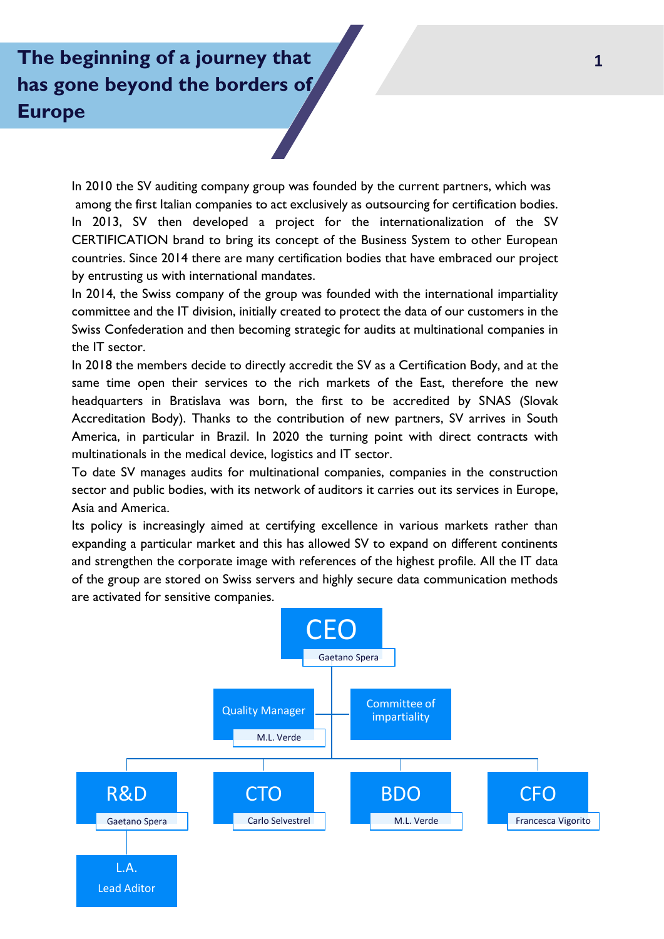# **The beginning of a journey that has gone beyond the borders of Europe**

In 2010 the SV auditing company group was founded by the current partners, which was among the first Italian companies to act exclusively as outsourcing for certification bodies. In 2013, SV then developed a project for the internationalization of the SV CERTIFICATION brand to bring its concept of the Business System to other European countries. Since 2014 there are many certification bodies that have embraced our project by entrusting us with international mandates.

In 2014, the Swiss company of the group was founded with the international impartiality committee and the IT division, initially created to protect the data of our customers in the Swiss Confederation and then becoming strategic for audits at multinational companies in the IT sector.

In 2018 the members decide to directly accredit the SV as a Certification Body, and at the same time open their services to the rich markets of the East, therefore the new headquarters in Bratislava was born, the first to be accredited by SNAS (Slovak Accreditation Body). Thanks to the contribution of new partners, SV arrives in South America, in particular in Brazil. In 2020 the turning point with direct contracts with multinationals in the medical device, logistics and IT sector.

To date SV manages audits for multinational companies, companies in the construction sector and public bodies, with its network of auditors it carries out its services in Europe, Asia and America.

Its policy is increasingly aimed at certifying excellence in various markets rather than expanding a particular market and this has allowed SV to expand on different continents and strengthen the corporate image with references of the highest profile. All the IT data of the group are stored on Swiss servers and highly secure data communication methods are activated for sensitive companies.

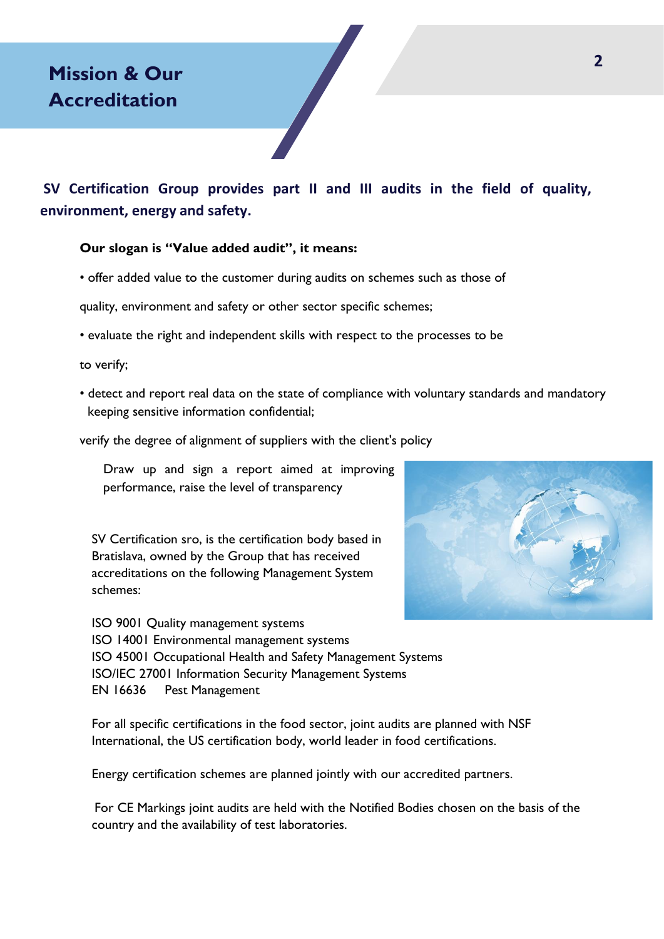**SV Certification Group provides part II and III audits in the field of quality, environment, energy and safety.**

#### **Our slogan is "Value added audit", it means:**

• offer added value to the customer during audits on schemes such as those of

quality, environment and safety or other sector specific schemes;

• evaluate the right and independent skills with respect to the processes to be

to verify;

• detect and report real data on the state of compliance with voluntary standards and mandatory keeping sensitive information confidential;

verify the degree of alignment of suppliers with the client's policy

Draw up and sign a report aimed at improving performance, raise the level of transparency

SV Certification sro, is the certification body based in Bratislava, owned by the Group that has received accreditations on the following Management System schemes:

ISO 9001 Quality management systems ISO 14001 Environmental management systems ISO 45001 Occupational Health and Safety Management Systems ISO/IEC 27001 Information Security Management Systems EN 16636 Pest Management

For all specific certifications in the food sector, joint audits are planned with NSF International, the US certification body, world leader in food certifications.

Energy certification schemes are planned jointly with our accredited partners.

For CE Markings joint audits are held with the Notified Bodies chosen on the basis of the country and the availability of test laboratories.

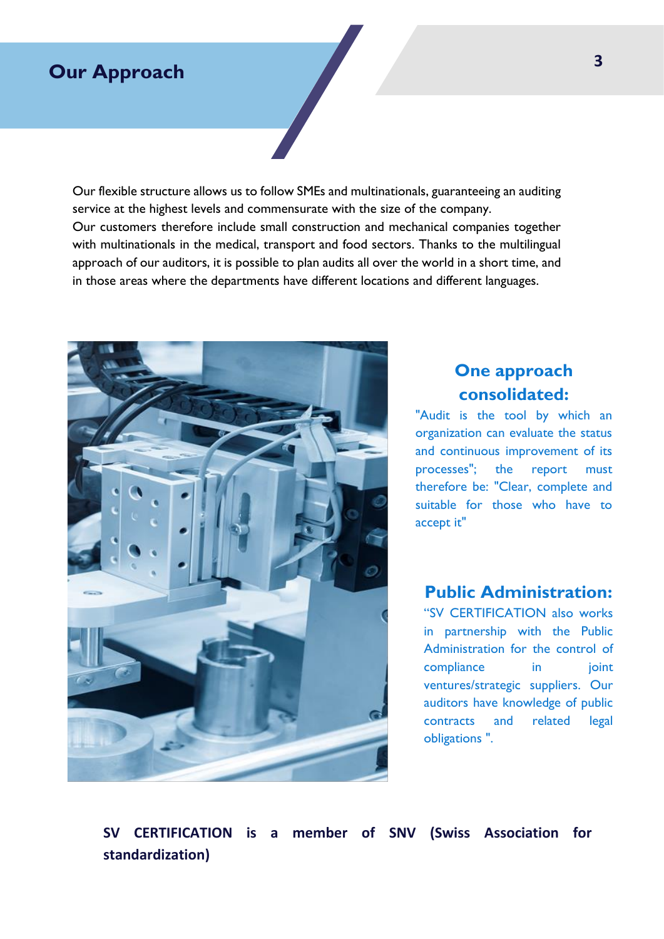### **Our Approach**

Our flexible structure allows us to follow SMEs and multinationals, guaranteeing an auditing service at the highest levels and commensurate with the size of the company. Our customers therefore include small construction and mechanical companies together with multinationals in the medical, transport and food sectors. Thanks to the multilingual approach of our auditors, it is possible to plan audits all over the world in a short time, and in those areas where the departments have different locations and different languages.



### **One approach consolidated:**

"Audit is the tool by which an organization can evaluate the status and continuous improvement of its processes"; the report must therefore be: "Clear, complete and suitable for those who have to accept it"

#### **Public Administration:**

"SV CERTIFICATION also works in partnership with the Public Administration for the control of compliance in ioint ventures/strategic suppliers. Our auditors have knowledge of public contracts and related legal obligations ".

**SV CERTIFICATION is a member of SNV (Swiss Association for standardization)**